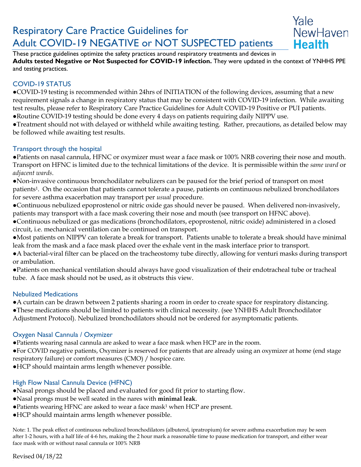# Respiratory Care Practice Guidelines for Adult COVID-19 NEGATIVE or NOT SUSPECTED patients



These practice guidelines optimize the safety practices around respiratory treatments and devices in **Adults tested Negative or Not Suspected for COVID-19 infection.** They were updated in the context of YNHHS PPE and testing practices.

# COVID-19 STATUS

●COVID-19 testing is recommended within 24hrs of INITIATION of the following devices, assuming that a new requirement signals a change in respiratory status that may be consistent with COVID-19 infection. While awaiting test results, please refer to Respiratory Care Practice Guidelines for Adult COVID-19 Positive or PUI patients.

●Routine COVID-19 testing should be done every 4 days on patients requiring daily NIPPV use.

●Treatment should not with delayed or withheld while awaiting testing. Rather, precautions, as detailed below may be followed while awaiting test results.

## Transport through the hospital

●Patients on nasal cannula, HFNC or oxymizer must wear a face mask or 100% NRB covering their nose and mouth. Transport on HFNC is limited due to the technical limitations of the device. It is permissible within the *same ward* or *adjacent wards*.

●Non-invasive continuous bronchodilator nebulizers can be paused for the brief period of transport on most patients1. On the occasion that patients cannot tolerate a pause, patients on continuous nebulized bronchodilators for severe asthma exacerbation may transport per *usual* procedure.

●Continuous nebulized epoprostenol or nitric oxide gas should never be paused. When delivered non-invasively, patients may transport with a face mask covering their nose and mouth (see transport on HFNC above).

●Continuous nebulized or gas medications (bronchodilators, epoprostenol, nitric oxide) administered in a closed circuit, i.e. mechanical ventilation can be continued on transport.

●Most patients on NIPPV can tolerate a break for transport. Patients unable to tolerate a break should have minimal leak from the mask and a face mask placed over the exhale vent in the mask interface prior to transport.

●A bacterial-viral filter can be placed on the tracheostomy tube directly, allowing for venturi masks during transport or ambulation.

●Patients on mechanical ventilation should always have good visualization of their endotracheal tube or tracheal tube. A face mask should not be used, as it obstructs this view.

## Nebulized Medications

●A curtain can be drawn between 2 patients sharing a room in order to create space for respiratory distancing.

●These medications should be limited to patients with clinical necessity. (see YNHHS Adult Bronchodilator Adjustment Protocol). Nebulized bronchodilators should not be ordered for asymptomatic patients.

## Oxygen Nasal Cannula / Oxymizer

●Patients wearing nasal cannula are asked to wear a face mask when HCP are in the room.

●For COVID negative patients, Oxymizer is reserved for patients that are already using an oxymizer at home (end stage respiratory failure) or comfort measures (CMO) / hospice care.

●HCP should maintain arms length whenever possible.

# High Flow Nasal Cannula Device (HFNC)

- ●Nasal prongs should be placed and evaluated for good fit prior to starting flow.
- ●Nasal prongs must be well seated in the nares with **minimal leak**.
- ●Patients wearing HFNC are asked to wear a face mask<sup>1</sup> when HCP are present.
- ●HCP should maintain arms length whenever possible.

Note: 1. The peak effect of continuous nebulized bronchodilators (albuterol, ipratropium) for severe asthma exacerbation may be seen after 1-2 hours, with a half life of 4-6 hrs, making the 2 hour mark a reasonable time to pause medication for transport, and either wear face mask with or without nasal cannula or 100% NRB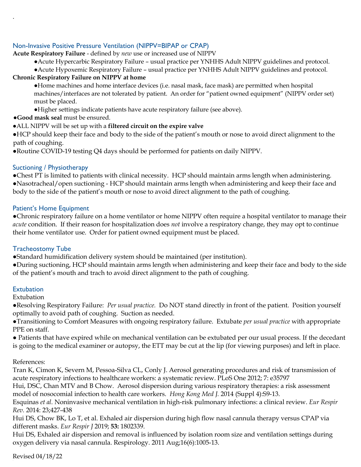## Non-Invasive Positive Pressure Ventilation (NIPPV=BIPAP or CPAP)

**Acute Respiratory Failure** - defined by *new* use or increased use of NIPPV

●Acute Hypercarbic Respiratory Failure – usual practice per YNHHS Adult NIPPV guidelines and protocol.

●Acute Hypoxemic Respiratory Failure – usual practice per YNHHS Adult NIPPV guidelines and protocol.

## **Chronic Respiratory Failure on NIPPV at home**

●Home machines and home interface devices (i.e. nasal mask, face mask) are permitted when hospital machines/interfaces are not tolerated by patient. An order for "patient owned equipment" (NIPPV order set) must be placed.

- ●Higher settings indicate patients have acute respiratory failure (see above).
- ●**Good mask seal** must be ensured.

## ●ALL NIPPV will be set up with a **filtered circuit on the expire valve**

●HCP should keep their face and body to the side of the patient's mouth or nose to avoid direct alignment to the path of coughing.

●Routine COVID-19 testing Q4 days should be performed for patients on daily NIPPV.

## Suctioning / Physiotherapy

.

●Chest PT is limited to patients with clinical necessity. HCP should maintain arms length when administering. ●Nasotracheal/open suctioning - HCP should maintain arms length when administering and keep their face and body to the side of the patient's mouth or nose to avoid direct alignment to the path of coughing.

#### Patient's Home Equipment

●Chronic respiratory failure on a home ventilator or home NIPPV often require a hospital ventilator to manage their *acute* condition. If their reason for hospitalization does *not* involve a respiratory change, they may opt to continue their home ventilator use. Order for patient owned equipment must be placed.

## Tracheostomy Tube

●Standard humidification delivery system should be maintained (per institution).

●During suctioning, HCP should maintain arms length when administering and keep their face and body to the side of the patient's mouth and trach to avoid direct alignment to the path of coughing.

#### **Extubation**

Extubation

●Resolving Respiratory Failure: *Per usual practice.* Do NOT stand directly in front of the patient. Position yourself optimally to avoid path of coughing. Suction as needed.

●Transitioning to Comfort Measures with ongoing respiratory failure. Extubate *per usual practice* with appropriate PPE on staff.

● Patients that have expired while on mechanical ventilation can be extubated per our usual process. If the decedant is going to the medical examiner or autopsy, the ETT may be cut at the lip (for viewing purposes) and left in place.

#### References:

Tran K, Cimon K, Severn M, Pessoa-Silva CL, Conly J. Aerosol generating procedures and risk of transmission of acute respiratory infections to healthcare workers: a systematic review. PLoS One 2012; 7: e35797

Hui, DSC, Chan MTV and B Chow. Aerosol dispersion during various respiratory therapies: a risk assessment model of nosocomial infection to health care workers. *Hong Kong Med J.* 2014 (Suppl 4):S9-13.

Esquinas *et al.* Noninvasive mechanical ventilation in high-risk pulmonary infections: a clinical review. *Eur Respir Rev.* 2014: 23;427-438

Hui DS, Chow BK, Lo T, et al. Exhaled air dispersion during high flow nasal cannula therapy versus CPAP via different masks. *Eur Respir J* 2019; **53:** 1802339.

Hui DS, Exhaled air dispersion and removal is influenced by isolation room size and ventilation settings during oxygen delivery via nasal cannula. Respirology. 2011 Aug;16(6):1005-13.